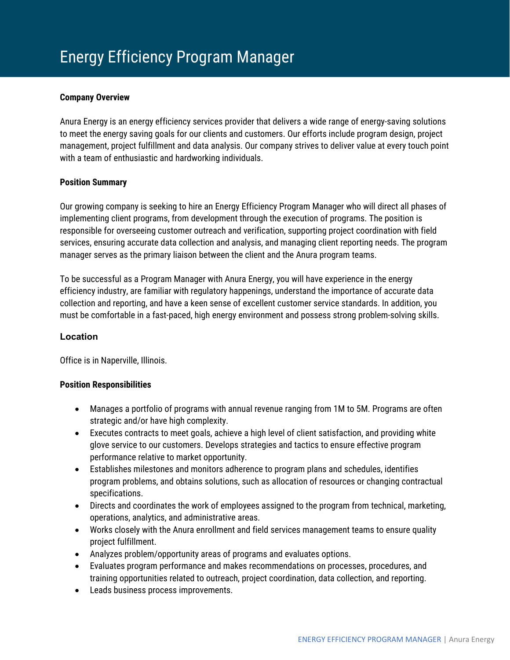### **Company Overview**

Anura Energy is an energy efficiency services provider that delivers a wide range of energy-saving solutions to meet the energy saving goals for our clients and customers. Our efforts include program design, project management, project fulfillment and data analysis. Our company strives to deliver value at every touch point with a team of enthusiastic and hardworking individuals.

## **Position Summary**

Our growing company is seeking to hire an Energy Efficiency Program Manager who will direct all phases of implementing client programs, from development through the execution of programs. The position is responsible for overseeing customer outreach and verification, supporting project coordination with field services, ensuring accurate data collection and analysis, and managing client reporting needs. The program manager serves as the primary liaison between the client and the Anura program teams.

To be successful as a Program Manager with Anura Energy, you will have experience in the energy efficiency industry, are familiar with regulatory happenings, understand the importance of accurate data collection and reporting, and have a keen sense of excellent customer service standards. In addition, you must be comfortable in a fast-paced, high energy environment and possess strong problem-solving skills.

# **Location**

Office is in Naperville, Illinois.

#### **Position Responsibilities**

- Manages a portfolio of programs with annual revenue ranging from 1M to 5M. Programs are often strategic and/or have high complexity.
- Executes contracts to meet goals, achieve a high level of client satisfaction, and providing white glove service to our customers. Develops strategies and tactics to ensure effective program performance relative to market opportunity.
- Establishes milestones and monitors adherence to program plans and schedules, identifies program problems, and obtains solutions, such as allocation of resources or changing contractual specifications.
- Directs and coordinates the work of employees assigned to the program from technical, marketing, operations, analytics, and administrative areas.
- Works closely with the Anura enrollment and field services management teams to ensure quality project fulfillment.
- Analyzes problem/opportunity areas of programs and evaluates options.
- Evaluates program performance and makes recommendations on processes, procedures, and training opportunities related to outreach, project coordination, data collection, and reporting.
- Leads business process improvements.